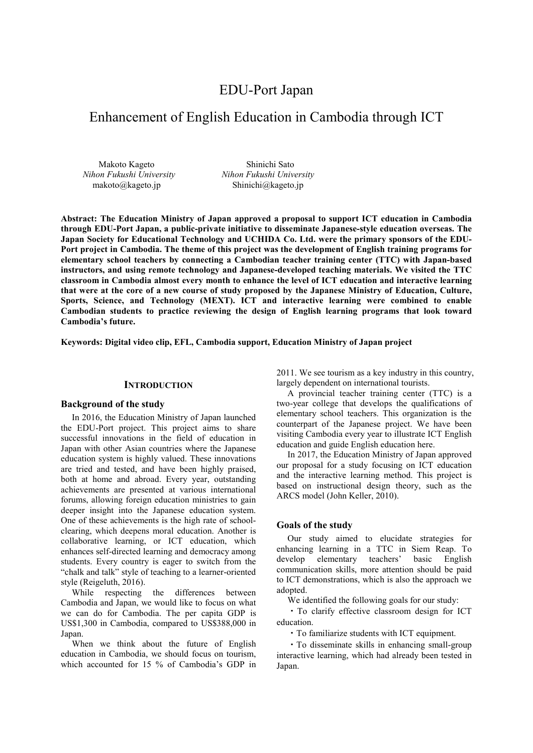# EDU-Port Japan

# Enhancement of English Education in Cambodia through ICT

Makoto Kageto *Nihon Fukushi University*  makoto@kageto.jp

Shinichi Sato *Nihon Fukushi University* Shinichi@kageto.jp

**Abstract: The Education Ministry of Japan approved a proposal to support ICT education in Cambodia through EDU-Port Japan, a public-private initiative to disseminate Japanese-style education overseas. The Japan Society for Educational Technology and UCHIDA Co. Ltd. were the primary sponsors of the EDU-Port project in Cambodia. The theme of this project was the development of English training programs for elementary school teachers by connecting a Cambodian teacher training center (TTC) with Japan-based instructors, and using remote technology and Japanese-developed teaching materials. We visited the TTC classroom in Cambodia almost every month to enhance the level of ICT education and interactive learning that were at the core of a new course of study proposed by the Japanese Ministry of Education, Culture, Sports, Science, and Technology (MEXT). ICT and interactive learning were combined to enable Cambodian students to practice reviewing the design of English learning programs that look toward Cambodia's future.** 

**Keywords: Digital video clip, EFL, Cambodia support, Education Ministry of Japan project** 

## **INTRODUCTION**

## **Background of the study**

In 2016, the Education Ministry of Japan launched the EDU-Port project. This project aims to share successful innovations in the field of education in Japan with other Asian countries where the Japanese education system is highly valued. These innovations are tried and tested, and have been highly praised, both at home and abroad. Every year, outstanding achievements are presented at various international forums, allowing foreign education ministries to gain deeper insight into the Japanese education system. One of these achievements is the high rate of schoolclearing, which deepens moral education. Another is collaborative learning, or ICT education, which enhances self-directed learning and democracy among students. Every country is eager to switch from the "chalk and talk" style of teaching to a learner-oriented style (Reigeluth, 2016).

While respecting the differences between Cambodia and Japan, we would like to focus on what we can do for Cambodia. The per capita GDP is US\$1,300 in Cambodia, compared to US\$388,000 in Japan.

When we think about the future of English education in Cambodia, we should focus on tourism, which accounted for 15 % of Cambodia's GDP in 2011. We see tourism as a key industry in this country, largely dependent on international tourists.

A provincial teacher training center (TTC) is a two-year college that develops the qualifications of elementary school teachers. This organization is the counterpart of the Japanese project. We have been visiting Cambodia every year to illustrate ICT English education and guide English education here.

In 2017, the Education Ministry of Japan approved our proposal for a study focusing on ICT education and the interactive learning method. This project is based on instructional design theory, such as the ARCS model (John Keller, 2010).

# **Goals of the study**

Our study aimed to elucidate strategies for enhancing learning in a TTC in Siem Reap. To develop elementary teachers' basic English communication skills, more attention should be paid to ICT demonstrations, which is also the approach we adopted.

We identified the following goals for our study:

・To clarify effective classroom design for ICT education.

・To familiarize students with ICT equipment.

・To disseminate skills in enhancing small-group interactive learning, which had already been tested in Japan.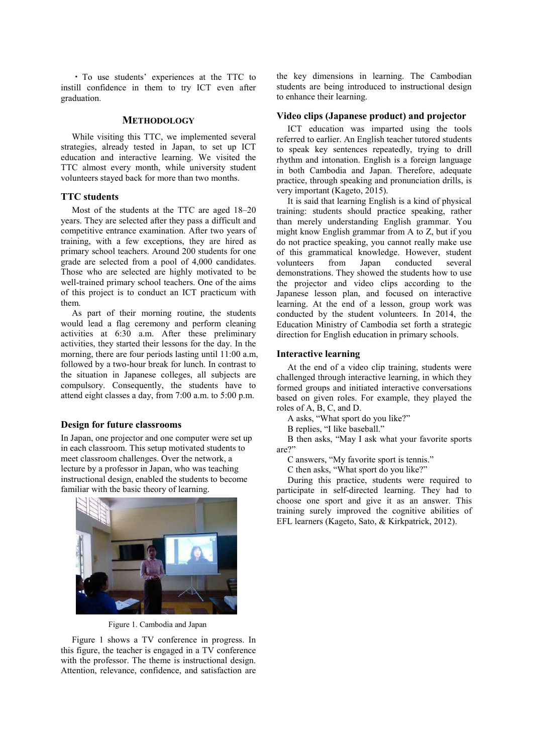・ To use students' experiences at the TTC to instill confidence in them to try ICT even after graduation.

# **METHODOLOGY**

While visiting this TTC, we implemented several strategies, already tested in Japan, to set up ICT education and interactive learning. We visited the TTC almost every month, while university student volunteers stayed back for more than two months.

## **TTC students**

Most of the students at the TTC are aged 18–20 years. They are selected after they pass a difficult and competitive entrance examination. After two years of training, with a few exceptions, they are hired as primary school teachers. Around 200 students for one grade are selected from a pool of 4,000 candidates. Those who are selected are highly motivated to be well-trained primary school teachers. One of the aims of this project is to conduct an ICT practicum with them.

As part of their morning routine, the students would lead a flag ceremony and perform cleaning activities at 6:30 a.m. After these preliminary activities, they started their lessons for the day. In the morning, there are four periods lasting until 11:00 a.m, followed by a two-hour break for lunch. In contrast to the situation in Japanese colleges, all subjects are compulsory. Consequently, the students have to attend eight classes a day, from 7:00 a.m. to 5:00 p.m.

# **Design for future classrooms**

In Japan, one projector and one computer were set up in each classroom. This setup motivated students to meet classroom challenges. Over the network, a lecture by a professor in Japan, who was teaching instructional design, enabled the students to become familiar with the basic theory of learning.



Figure 1. Cambodia and Japan

Figure 1 shows a TV conference in progress. In this figure, the teacher is engaged in a TV conference with the professor. The theme is instructional design. Attention, relevance, confidence, and satisfaction are

the key dimensions in learning. The Cambodian students are being introduced to instructional design to enhance their learning.

# **Video clips (Japanese product) and projector**

ICT education was imparted using the tools referred to earlier. An English teacher tutored students to speak key sentences repeatedly, trying to drill rhythm and intonation. English is a foreign language in both Cambodia and Japan. Therefore, adequate practice, through speaking and pronunciation drills, is very important (Kageto, 2015).

It is said that learning English is a kind of physical training: students should practice speaking, rather than merely understanding English grammar. You might know English grammar from A to Z, but if you do not practice speaking, you cannot really make use of this grammatical knowledge. However, student volunteers from Japan conducted several demonstrations. They showed the students how to use the projector and video clips according to the Japanese lesson plan, and focused on interactive learning. At the end of a lesson, group work was conducted by the student volunteers. In 2014, the Education Ministry of Cambodia set forth a strategic direction for English education in primary schools.

## **Interactive learning**

At the end of a video clip training, students were challenged through interactive learning, in which they formed groups and initiated interactive conversations based on given roles. For example, they played the roles of A, B, C, and D.

A asks, "What sport do you like?"

B replies, "I like baseball."

B then asks, "May I ask what your favorite sports are?"

C answers, "My favorite sport is tennis."

C then asks, "What sport do you like?"

During this practice, students were required to participate in self-directed learning. They had to choose one sport and give it as an answer. This training surely improved the cognitive abilities of EFL learners (Kageto, Sato, & Kirkpatrick, 2012).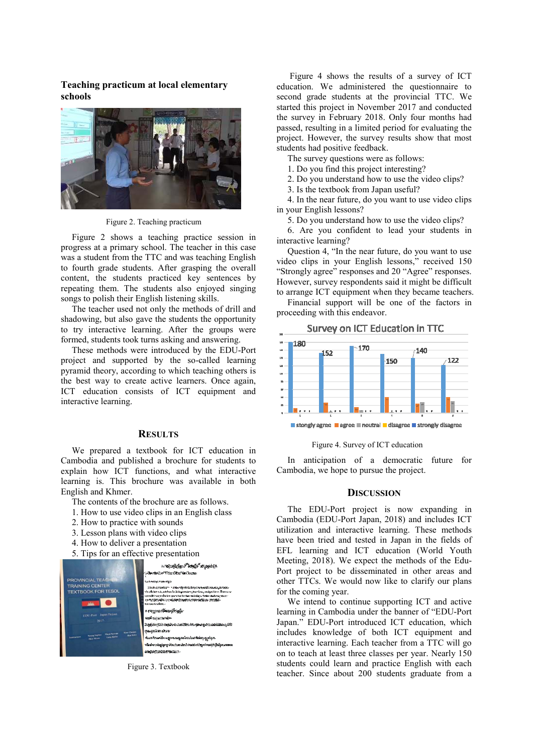**Teaching practicum at local elementary schools** 



Figure 2. Teaching practicum

Figure 2 shows a teaching practice session in progress at a primary school. The teacher in this case was a student from the TTC and was teaching English to fourth grade students. After grasping the overall content, the students practiced key sentences by repeating them. The students also enjoyed singing songs to polish their English listening skills.

The teacher used not only the methods of drill and shadowing, but also gave the students the opportunity to try interactive learning. After the groups were formed, students took turns asking and answering.

These methods were introduced by the EDU-Port project and supported by the so-called learning pyramid theory, according to which teaching others is the best way to create active learners. Once again, ICT education consists of ICT equipment and interactive learning.

# **RESULTS**

We prepared a textbook for ICT education in Cambodia and published a brochure for students to explain how ICT functions, and what interactive learning is. This brochure was available in both English and Khmer.

- The contents of the brochure are as follows.
- 1. How to use video clips in an English class
- 2. How to practice with sounds
- 3. Lesson plans with video clips
- 4. How to deliver a presentation
- 5. Tips for an effective presentation



Figure 3. Textbook

 Figure 4 shows the results of a survey of ICT education. We administered the questionnaire to second grade students at the provincial TTC. We started this project in November 2017 and conducted the survey in February 2018. Only four months had passed, resulting in a limited period for evaluating the project. However, the survey results show that most students had positive feedback.

The survey questions were as follows:

1. Do you find this project interesting?

- 2. Do you understand how to use the video clips?
- 3. Is the textbook from Japan useful?

4. In the near future, do you want to use video clips in your English lessons?

5. Do you understand how to use the video clips?

6. Are you confident to lead your students in interactive learning?

Question 4, "In the near future, do you want to use video clips in your English lessons," received 150 "Strongly agree" responses and 20 "Agree" responses. However, survey respondents said it might be difficult to arrange ICT equipment when they became teachers.

Financial support will be one of the factors in proceeding with this endeavor.



■ stongly agree ■ agree ■ neutral ■ disagree ■ strongly disagree

## Figure 4. Survey of ICT education

In anticipation of a democratic future for Cambodia, we hope to pursue the project.

#### **DISCUSSION**

The EDU-Port project is now expanding in Cambodia (EDU-Port Japan, 2018) and includes ICT utilization and interactive learning. These methods have been tried and tested in Japan in the fields of EFL learning and ICT education (World Youth Meeting, 2018). We expect the methods of the Edu-Port project to be disseminated in other areas and other TTCs. We would now like to clarify our plans for the coming year.

We intend to continue supporting ICT and active learning in Cambodia under the banner of "EDU-Port Japan." EDU-Port introduced ICT education, which includes knowledge of both ICT equipment and interactive learning. Each teacher from a TTC will go on to teach at least three classes per year. Nearly 150 students could learn and practice English with each teacher. Since about 200 students graduate from a